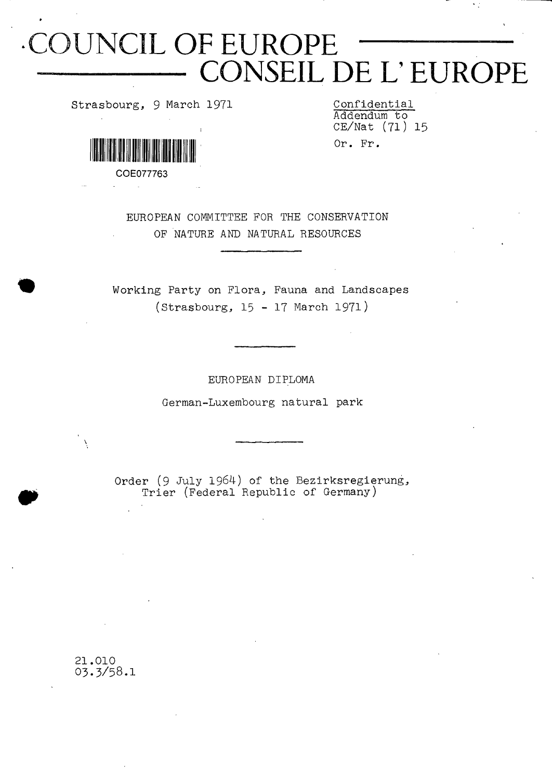# **CUNCIL OF EUROPE**  $\overline{\text{CONSEIL DE L'EUROPE}}$

**Strasbourg, 9 March 1971 Confidential**

**Addendum to CE/Nat (71) 15 O r . F r .**



**COE077763**

**EUROPEAN COMMITTEE FOR THE CONSERVATION OF NATURE AND NATURAL RESOURCES**

**Working Party on Flora, Fauna and Landscapes (Strasbourg, 15 - 17 March 1971)**

**EUROPEAN DIPLOMA**

**German-Luxembourg natural park**

**Order (9 July 1964) of the Bezirksregierung, Trier (Federal Republic of Germany)**

**21.010 O3.3/58.I**

Ń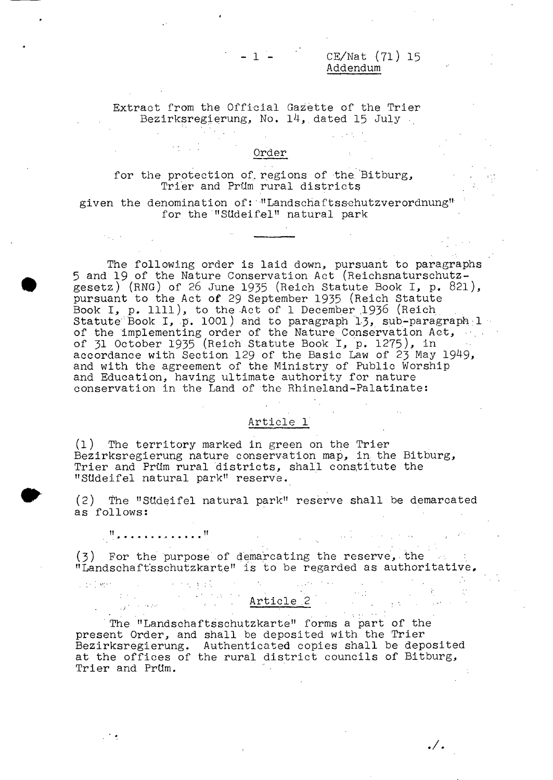CE/Nat (71) 15 Addendum

**Extract from the Official Gazette of the Trier Bezirksregierung, No. 14, dated 15 July**

 $-1$   $-$ 

#### **Order**

**for the protection of. regions of the, Bitburg, Trier and Prüm rural districts**

**given the denomination of : ''Landschaftsschutzverordnung" for the "Südeifel" natural park**

**The following order is laid down, pursuant to paragraphs 5 and 19 of the Nature Conservation Act (Reichsnaturschutzgesetz) (ENG) of 26 June 1955 (Reich Statute Book I, p. 821), pursuant to the Act of 29 September 1935 (Reich Statute Book I, p. llll), to the Act of 1 December ,1938 (Reich Statute' Book I, p. 1001 ) and to paragraph 1-3, sub-paragraph : 1 of the implementing order of the Nature Conservation Act, of 31 October 1935 (Reich Statute Book I, p. 1275), in accordance with Section 129 of the Basic Law of 23 May 1949, and with the agreement of the Ministry of Public Worship and Education, having ultimate authority for nature conservation in the Land of the Rhineland-Palatinate:**

## **Article 1**

**(1) The territory marked in green on the Trier Bezirksregierung nature conservation map, in. the Bitburg, Trier and Prüm rural districts, shall constitute the "Südeifel natural park" reserve.**

**(2) The "Südeifel natural park" reserve shall be demarcated as follows:**

**!! ......" •>**

 $\frac{1}{2}$  ,  $\frac{1}{2}$ 

**Contract** 

Library Co

**(**3 **) For the purpose of demarcating the reserve, the "Landschaft'sschutzkarte" is to be regarded as authoritative,,**

**Article 2** , and the settlement

**The "Landschaftsschutzkarte" forms a part of the present Order, and shall be deposited with the Trier Bezirksregierung. Authenticated copies shall be deposited at the offices of the rural district councils of Bitburg, Trier and Prüm.**

 $\cdot/$  .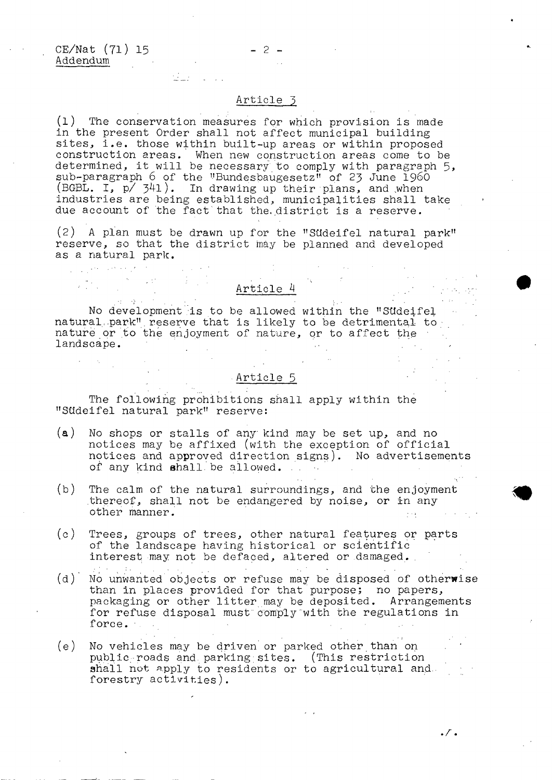المحارف والمتحدث والمتحدثين

## $-2-$

alla control

#### **Article 5**

 $\sim 100$  km s  $^{-1}$ 

**(1) The conservation measures for which provision is made in the present Order shall not affect municipal building sites., i.e. those within built-up areas or within proposed construction areas. When new construction areas come to be determined, it will be necessary to comply with paragraph 5> sub-paragraph 6 of the "Bundesbaugesetz" of** 23 **June i**960 **(BGBL. I, p/ 341 ). In drawing up their plans, and .when industries are being established, municipalities shall take due account of the fact that the. district is a reserve.**

**(2) A plan must be drawn up for the "Südeifel natural park" reserve, so that the district may be planned and developed as a natural park.**

**No development is to be allowed within the "Südeifel natural,.park".reserve that is likely to be detrimental to naturë or to thé enjoyment of nature, or to affect the landscape.**  $\label{eq:2.1} \frac{1}{\sqrt{2\pi}}\int_{\mathbb{R}^{2}}\left|\frac{d\mathbf{r}}{d\mathbf{r}}\right|^{2}d\mathbf{r}^{2}d\mathbf{r}^{2}d\mathbf{r}^{2}d\mathbf{r}^{2}d\mathbf{r}^{2}d\mathbf{r}^{2}d\mathbf{r}^{2}d\mathbf{r}^{2}d\mathbf{r}^{2}d\mathbf{r}^{2}d\mathbf{r}^{2}d\mathbf{r}^{2}d\mathbf{r}^{2}d\mathbf{r}^{2}d\mathbf{r}^{2}d\mathbf{r}^{2}d$  $\mathcal{L}^{\mathcal{L}}(\mathcal{L}^{\mathcal{L}})$  , where  $\mathcal{L}^{\mathcal{L}}(\mathcal{L}^{\mathcal{L}})$  $\frac{1}{2}$  ,  $\frac{1}{2}$  ,  $\frac{1}{2}$ 

### **Article 5**

**Article 4**

**The following prohibitions shall apply within the "Südeifel natural park" reserve:**

- **(a) No shops or stalls of any kind may be set up, and no notices may be affixed (with the exception of official nptices and approved direction signs). No advertisements of any kind shall, be allowed. . .**
- **(b) The calm of the natural surroundings, and the enjoyment .thereof, shall not be endangered by noise, or in any other manner.**
- **(c) Trees, groups of trees, other natural features or parts of the landscape having historical or scientific interest may not be defaced, altered or damaged. .**
- **(d) No unwanted objects or refuse may be disposed of otherwise than in places provided for that purpose; no papers, packaging or other litter may be deposited. Arrangements** for refuse disposal must comply with the regulations in **force.**  $\sim 10^{-11}$  $\mathcal{A}=\frac{1}{2}$  ,  $\mathcal{A}=\frac{1}{2}$
- **(e) No vehicles may be driven or parked other than on public-roads and. parking sites. (This restriction** shall not apply to residents or to agricultural and. **forestry activities).**

 $\cdot$  /  $\cdot$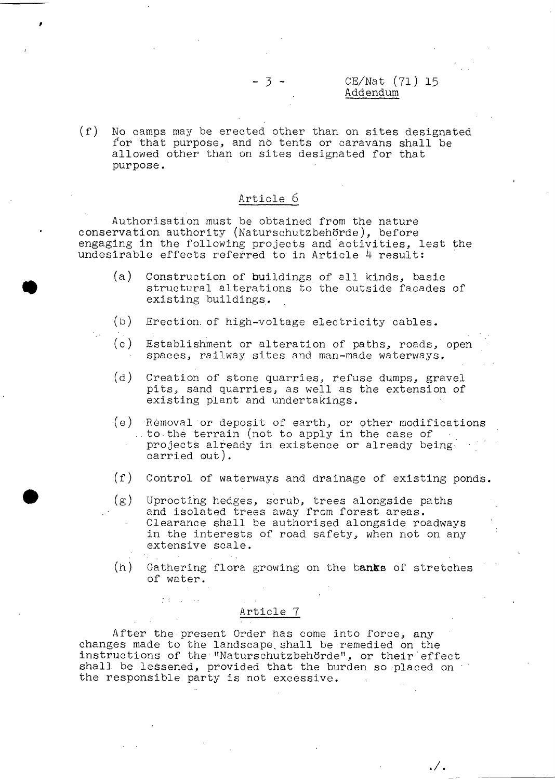## CE/Nat (71) 15 Addendum

. / .

**(f) No camps may be erected other than on sites designated for that purpose, and no tents or caravans shall be allowed other than on sites designated for that purpose.**

#### **Article 6**

**Authorisation must be obtained from the nature conservation authority (Naturschutzbehörde), before engaging in the following projects and activities, lest the undesirable effects referred to in Article 4 result:**

- **(a) Construction of buildings of all kinds, basic structural alterations to the outside facades of existing buildings.**
- **(b) Erection, of high-voltage electricity cables.**
- **(c) Establishment or alteration of paths, roads, open spaces, railway sites and man-made waterways.**
- **(d) Creation of stone quarries, refuse dumps, gravel pits, sand quarries, as well as the extension of existing plant and undertakings.**
- **(e) Rèmovai or deposit of earth, or other modifications ..to the terrain (not to apply in the case of projects already in existence or already beingcarried out).**
- **(f) Control of waterways and drainage of existing ponds.**
- **(g) Uprooting hedges, scrub, trees alongside paths and isolated trees away from forest areas. Clearance shall be authorised alongside roadways in the interests of road safety, when not on any extensive scale.**
- (h) Gathering flora growing on the banks of stretches **of water.**

#### **Article 7**

**After the present Order has come into force, any changes made to the landscape., shall be remedied on the instructions of the ''Naturschutzbehörde", or their'effect shall be lessened, provided that the burden so placed on the responsible party is not excessive.**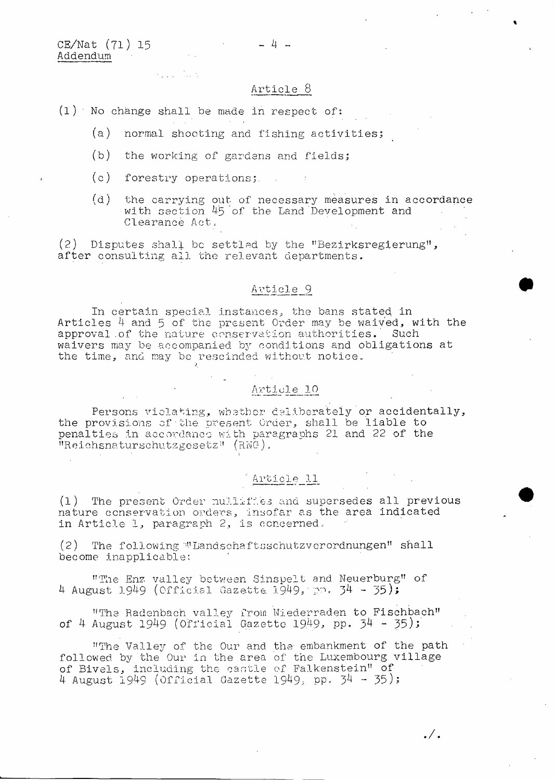CE/Nat (71) 15 Addendum

#### **Article 8**

- **(1) ' No change shall be made in respect of:**
	- **(a) normal shooting and fishing activities** *;*
	- **(b) the working of gardens and fields ;**
	- **(c) forestry operations**

ka sa Ting

**(d) the carrying out of necessary measures in accordance with section 4-5 of the Land Development and Clearance Act,**

**(2) Disputes shall be settled by the "Bezirksregierung", after consulting all the relevant departments.**

#### **Article 9**

**In certain special instances, the bans stated in Articles 4 and 5 of the present Order may be waived, with the approval .of the nature conservation authorities. Such waivers may be accompanied by conditions and obligations at the time, and may be rescinded without notice.**

## **Article 10**

**Persons violating, whether deliberately or accidentally, the provisions of the present Order, shall be liable to penalties in accordance- with paragraphs 21 and 22 of the "Reichsnaturschutzgesetz" (RNC1),**

# **Article 11**

**(1) The present Order nullifies and supersedes all previous nature conservation orders, insofar as the area indicated in Article 1, paragraph 2, is concerned,**

**(2) The following "•'.'Landschaftsschutzverordnungen" shall become inapplicable:**

**"The Enz, valley between Sinspelt and Neuerburg" of 4 August** 1949 **(Officisi Gazette. 1949L i 0 \* p4 - p5)>**

**"The Radenbach valley from Niederraden to Fischbach" of 4 August** 1949 **(Official Gazette 19.49.» PP. 94 - 35);**

**"The Valley of the Our and the embankment of the path followed by the Our in the area of the Luxembourg village of Bivels, including the castle of Falkenstein" of 4 August** 1949 **(Official Gazette 1949; PP- î>4 - 95) 1**

 $\cdot / \cdot$